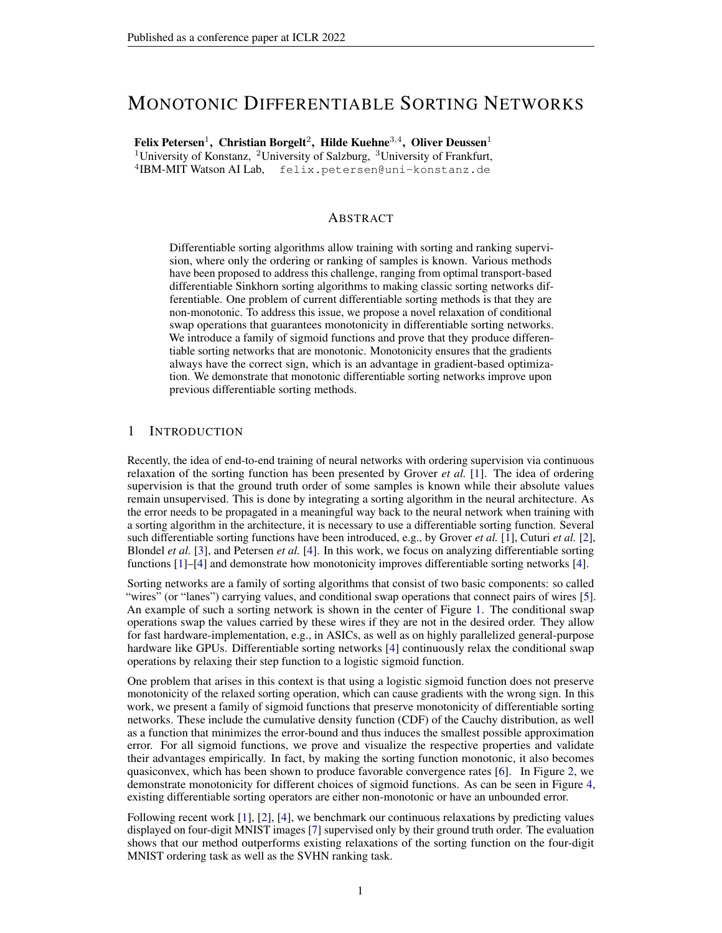# MONOTONIC DIFFERENTIABLE SORTING NETWORKS

Felix Petersen<sup>1</sup>, Christian Borgelt<sup>2</sup>, Hilde Kuehne<sup>3,4</sup>, Oliver Deussen<sup>1</sup> <sup>1</sup>University of Konstanz, <sup>2</sup>University of Salzburg, <sup>3</sup>University of Frankfurt, 4 IBM-MIT Watson AI Lab, felix.petersen@uni-konstanz.de

### ABSTRACT

Differentiable sorting algorithms allow training with sorting and ranking supervision, where only the ordering or ranking of samples is known. Various methods have been proposed to address this challenge, ranging from optimal transport-based differentiable Sinkhorn sorting algorithms to making classic sorting networks differentiable. One problem of current differentiable sorting methods is that they are non-monotonic. To address this issue, we propose a novel relaxation of conditional swap operations that guarantees monotonicity in differentiable sorting networks. We introduce a family of sigmoid functions and prove that they produce differentiable sorting networks that are monotonic. Monotonicity ensures that the gradients always have the correct sign, which is an advantage in gradient-based optimization. We demonstrate that monotonic differentiable sorting networks improve upon previous differentiable sorting methods.

### 1 INTRODUCTION

Recently, the idea of end-to-end training of neural networks with ordering supervision via continuous relaxation of the sorting function has been presented by Grover *et al.* [\[1\]](#page-9-0). The idea of ordering supervision is that the ground truth order of some samples is known while their absolute values remain unsupervised. This is done by integrating a sorting algorithm in the neural architecture. As the error needs to be propagated in a meaningful way back to the neural network when training with a sorting algorithm in the architecture, it is necessary to use a differentiable sorting function. Several such differentiable sorting functions have been introduced, e.g., by Grover *et al.* [\[1\]](#page-9-0), Cuturi *et al.* [\[2\]](#page-9-1), Blondel *et al.* [\[3\]](#page-9-2), and Petersen *et al.* [\[4\]](#page-9-3). In this work, we focus on analyzing differentiable sorting functions [\[1\]](#page-9-0)–[\[4\]](#page-9-3) and demonstrate how monotonicity improves differentiable sorting networks [\[4\]](#page-9-3).

Sorting networks are a family of sorting algorithms that consist of two basic components: so called "wires" (or "lanes") carrying values, and conditional swap operations that connect pairs of wires [\[5\]](#page-9-4). An example of such a sorting network is shown in the center of Figure [1.](#page-1-0) The conditional swap operations swap the values carried by these wires if they are not in the desired order. They allow for fast hardware-implementation, e.g., in ASICs, as well as on highly parallelized general-purpose hardware like GPUs. Differentiable sorting networks [\[4\]](#page-9-3) continuously relax the conditional swap operations by relaxing their step function to a logistic sigmoid function.

One problem that arises in this context is that using a logistic sigmoid function does not preserve monotonicity of the relaxed sorting operation, which can cause gradients with the wrong sign. In this work, we present a family of sigmoid functions that preserve monotonicity of differentiable sorting networks. These include the cumulative density function (CDF) of the Cauchy distribution, as well as a function that minimizes the error-bound and thus induces the smallest possible approximation error. For all sigmoid functions, we prove and visualize the respective properties and validate their advantages empirically. In fact, by making the sorting function monotonic, it also becomes quasiconvex, which has been shown to produce favorable convergence rates [\[6\]](#page-9-5). In Figure [2,](#page-6-0) we demonstrate monotonicity for different choices of sigmoid functions. As can be seen in Figure [4,](#page-6-1) existing differentiable sorting operators are either non-monotonic or have an unbounded error.

Following recent work [\[1\]](#page-9-0), [\[2\]](#page-9-1), [\[4\]](#page-9-3), we benchmark our continuous relaxations by predicting values displayed on four-digit MNIST images [\[7\]](#page-9-6) supervised only by their ground truth order. The evaluation shows that our method outperforms existing relaxations of the sorting function on the four-digit MNIST ordering task as well as the SVHN ranking task.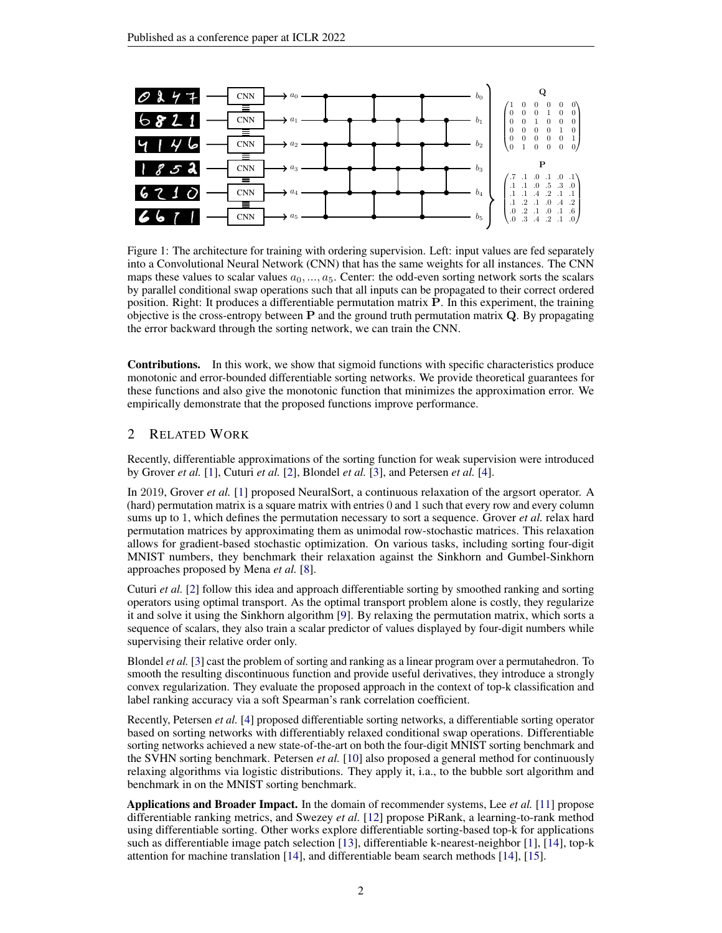<span id="page-1-0"></span>

Figure 1: The architecture for training with ordering supervision. Left: input values are fed separately into a Convolutional Neural Network (CNN) that has the same weights for all instances. The CNN maps these values to scalar values  $a_0, ..., a_5$ . Center: the odd-even sorting network sorts the scalars by parallel conditional swap operations such that all inputs can be propagated to their correct ordered position. Right: It produces a differentiable permutation matrix P. In this experiment, the training objective is the cross-entropy between  $P$  and the ground truth permutation matrix  $Q$ . By propagating the error backward through the sorting network, we can train the CNN.

Contributions. In this work, we show that sigmoid functions with specific characteristics produce monotonic and error-bounded differentiable sorting networks. We provide theoretical guarantees for these functions and also give the monotonic function that minimizes the approximation error. We empirically demonstrate that the proposed functions improve performance.

# 2 RELATED WORK

Recently, differentiable approximations of the sorting function for weak supervision were introduced by Grover *et al.* [\[1\]](#page-9-0), Cuturi *et al.* [\[2\]](#page-9-1), Blondel *et al.* [\[3\]](#page-9-2), and Petersen *et al.* [\[4\]](#page-9-3).

In 2019, Grover *et al.* [\[1\]](#page-9-0) proposed NeuralSort, a continuous relaxation of the argsort operator. A (hard) permutation matrix is a square matrix with entries 0 and 1 such that every row and every column sums up to 1, which defines the permutation necessary to sort a sequence. Grover *et al.* relax hard permutation matrices by approximating them as unimodal row-stochastic matrices. This relaxation allows for gradient-based stochastic optimization. On various tasks, including sorting four-digit MNIST numbers, they benchmark their relaxation against the Sinkhorn and Gumbel-Sinkhorn approaches proposed by Mena *et al.* [\[8\]](#page-9-7).

Cuturi *et al.* [\[2\]](#page-9-1) follow this idea and approach differentiable sorting by smoothed ranking and sorting operators using optimal transport. As the optimal transport problem alone is costly, they regularize it and solve it using the Sinkhorn algorithm [\[9\]](#page-9-8). By relaxing the permutation matrix, which sorts a sequence of scalars, they also train a scalar predictor of values displayed by four-digit numbers while supervising their relative order only.

Blondel *et al.* [\[3\]](#page-9-2) cast the problem of sorting and ranking as a linear program over a permutahedron. To smooth the resulting discontinuous function and provide useful derivatives, they introduce a strongly convex regularization. They evaluate the proposed approach in the context of top-k classification and label ranking accuracy via a soft Spearman's rank correlation coefficient.

Recently, Petersen *et al.* [\[4\]](#page-9-3) proposed differentiable sorting networks, a differentiable sorting operator based on sorting networks with differentiably relaxed conditional swap operations. Differentiable sorting networks achieved a new state-of-the-art on both the four-digit MNIST sorting benchmark and the SVHN sorting benchmark. Petersen *et al.* [\[10\]](#page-9-9) also proposed a general method for continuously relaxing algorithms via logistic distributions. They apply it, i.a., to the bubble sort algorithm and benchmark in on the MNIST sorting benchmark.

Applications and Broader Impact. In the domain of recommender systems, Lee *et al.* [\[11\]](#page-9-10) propose differentiable ranking metrics, and Swezey *et al.* [\[12\]](#page-9-11) propose PiRank, a learning-to-rank method using differentiable sorting. Other works explore differentiable sorting-based top-k for applications such as differentiable image patch selection [\[13\]](#page-9-12), differentiable k-nearest-neighbor [\[1\]](#page-9-0), [\[14\]](#page-9-13), top-k attention for machine translation [\[14\]](#page-9-13), and differentiable beam search methods [\[14\]](#page-9-13), [\[15\]](#page-9-14).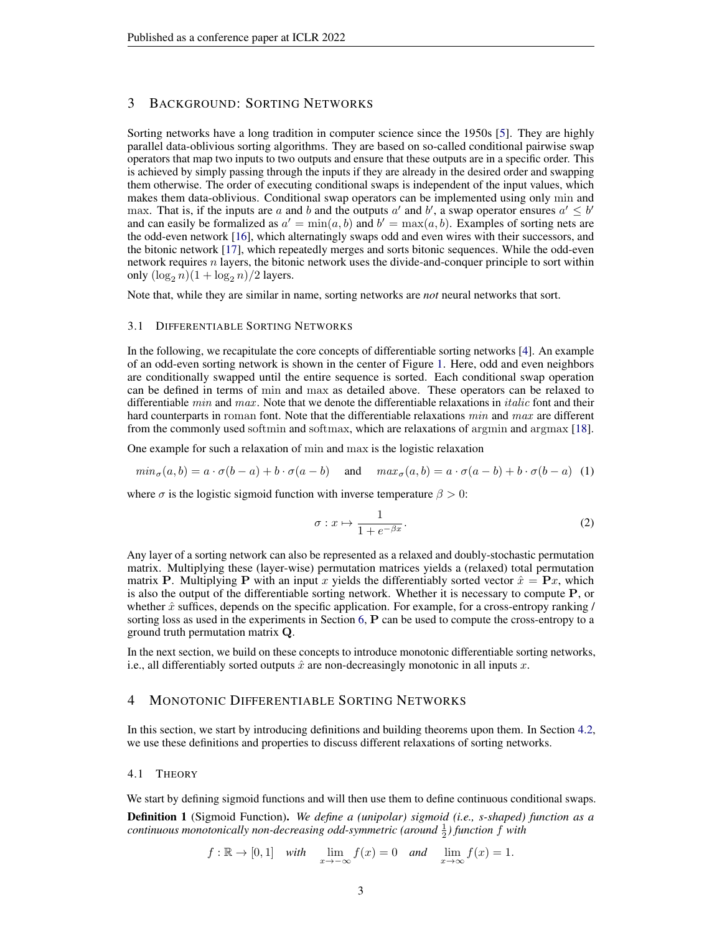# 3 BACKGROUND: SORTING NETWORKS

Sorting networks have a long tradition in computer science since the 1950s [\[5\]](#page-9-4). They are highly parallel data-oblivious sorting algorithms. They are based on so-called conditional pairwise swap operators that map two inputs to two outputs and ensure that these outputs are in a specific order. This is achieved by simply passing through the inputs if they are already in the desired order and swapping them otherwise. The order of executing conditional swaps is independent of the input values, which makes them data-oblivious. Conditional swap operators can be implemented using only min and max. That is, if the inputs are a and b and the outputs a' and b', a swap operator ensures  $a' \leq b'$ and can easily be formalized as  $a' = min(a, b)$  and  $b' = max(a, b)$ . Examples of sorting nets are the odd-even network [\[16\]](#page-9-15), which alternatingly swaps odd and even wires with their successors, and the bitonic network [\[17\]](#page-9-16), which repeatedly merges and sorts bitonic sequences. While the odd-even network requires  $n$  layers, the bitonic network uses the divide-and-conquer principle to sort within only  $(\log_2 n)(1 + \log_2 n)/2$  layers.

Note that, while they are similar in name, sorting networks are *not* neural networks that sort.

#### 3.1 DIFFERENTIABLE SORTING NETWORKS

In the following, we recapitulate the core concepts of differentiable sorting networks [\[4\]](#page-9-3). An example of an odd-even sorting network is shown in the center of Figure [1.](#page-1-0) Here, odd and even neighbors are conditionally swapped until the entire sequence is sorted. Each conditional swap operation can be defined in terms of min and max as detailed above. These operators can be relaxed to differentiable  $min$  and  $max$ . Note that we denote the differentiable relaxations in *italic* font and their hard counterparts in roman font. Note that the differentiable relaxations min and max are different from the commonly used softmin and softmax, which are relaxations of argmin and argmax [\[18\]](#page-9-17).

One example for such a relaxation of min and max is the logistic relaxation

$$
min_{\sigma}(a,b) = a \cdot \sigma(b-a) + b \cdot \sigma(a-b) \quad \text{and} \quad max_{\sigma}(a,b) = a \cdot \sigma(a-b) + b \cdot \sigma(b-a) \tag{1}
$$

where  $\sigma$  is the logistic sigmoid function with inverse temperature  $\beta > 0$ :

$$
\sigma: x \mapsto \frac{1}{1 + e^{-\beta x}}.\tag{2}
$$

Any layer of a sorting network can also be represented as a relaxed and doubly-stochastic permutation matrix. Multiplying these (layer-wise) permutation matrices yields a (relaxed) total permutation matrix P. Multiplying P with an input x yields the differentiably sorted vector  $\hat{x} = Px$ , which is also the output of the differentiable sorting network. Whether it is necessary to compute P, or whether  $\hat{x}$  suffices, depends on the specific application. For example, for a cross-entropy ranking / sorting loss as used in the experiments in Section [6,](#page-7-0) **P** can be used to compute the cross-entropy to a ground truth permutation matrix Q.

In the next section, we build on these concepts to introduce monotonic differentiable sorting networks, i.e., all differentiably sorted outputs  $\hat{x}$  are non-decreasingly monotonic in all inputs x.

# 4 MONOTONIC DIFFERENTIABLE SORTING NETWORKS

In this section, we start by introducing definitions and building theorems upon them. In Section [4.2,](#page-4-0) we use these definitions and properties to discuss different relaxations of sorting networks.

#### 4.1 THEORY

We start by defining sigmoid functions and will then use them to define continuous conditional swaps.

Definition 1 (Sigmoid Function). *We define a (unipolar) sigmoid (i.e., s-shaped) function as a continuous monotonically non-decreasing odd-symmetric (around*  $\frac{1}{2}$ ) function  $f$  with

$$
f: \mathbb{R} \to [0,1]
$$
 with  $\lim_{x \to -\infty} f(x) = 0$  and  $\lim_{x \to \infty} f(x) = 1$ .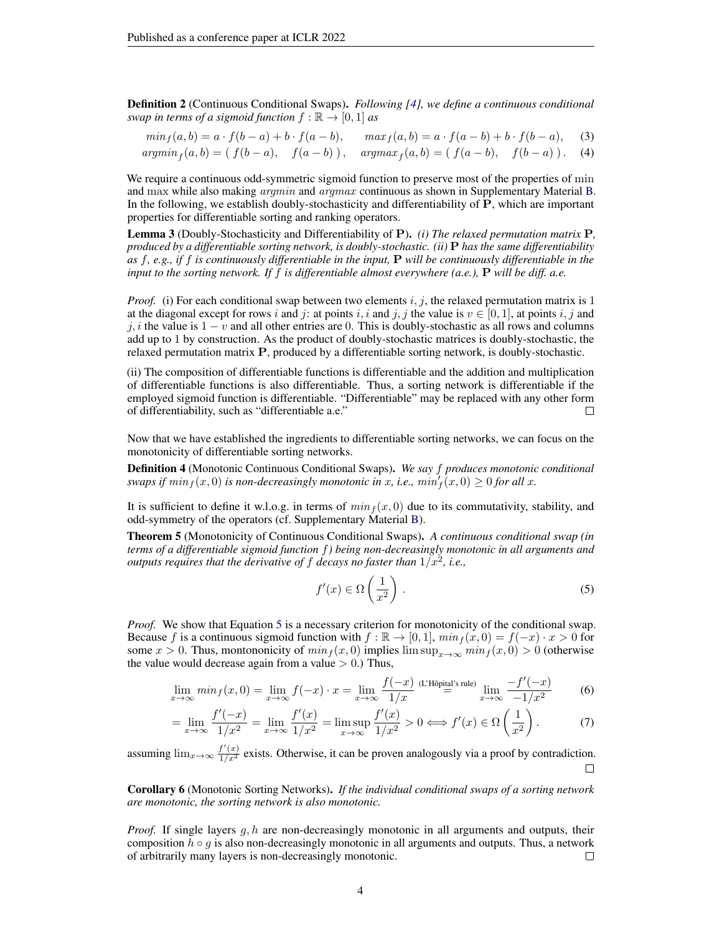Definition 2 (Continuous Conditional Swaps). *Following [\[4\]](#page-9-3), we define a continuous conditional swap in terms of a sigmoid function*  $f : \mathbb{R} \to [0, 1]$  *as* 

$$
min_f(a, b) = a \cdot f(b - a) + b \cdot f(a - b), \qquad max_f(a, b) = a \cdot f(a - b) + b \cdot f(b - a), \tag{3}
$$

$$
argmin_{f}(a,b) = (f(b-a), \quad f(a-b)), \quad argmax_{f}(a,b) = (f(a-b), \quad f(b-a)).
$$
 (4)

We require a continuous odd-symmetric sigmoid function to preserve most of the properties of min and max while also making *argmin* and *argmax* continuous as shown in Supplementary Material [B.](#page-11-0) In the following, we establish doubly-stochasticity and differentiability of P, which are important properties for differentiable sorting and ranking operators.

Lemma 3 (Doubly-Stochasticity and Differentiability of P). *(i) The relaxed permutation matrix* P*, produced by a differentiable sorting network, is doubly-stochastic. (ii)* P *has the same differentiability as* f*, e.g., if* f *is continuously differentiable in the input,* P *will be continuously differentiable in the input to the sorting network. If* f *is differentiable almost everywhere (a.e.),* P *will be diff. a.e.*

*Proof.* (i) For each conditional swap between two elements i, j, the relaxed permutation matrix is 1 at the diagonal except for rows i and j: at points i, i and j, j the value is  $v \in [0, 1]$ , at points i, j and j, i the value is  $1 - v$  and all other entries are 0. This is doubly-stochastic as all rows and columns add up to 1 by construction. As the product of doubly-stochastic matrices is doubly-stochastic, the relaxed permutation matrix P, produced by a differentiable sorting network, is doubly-stochastic.

(ii) The composition of differentiable functions is differentiable and the addition and multiplication of differentiable functions is also differentiable. Thus, a sorting network is differentiable if the employed sigmoid function is differentiable. "Differentiable" may be replaced with any other form of differentiability, such as "differentiable a.e." Ш

Now that we have established the ingredients to differentiable sorting networks, we can focus on the monotonicity of differentiable sorting networks.

Definition 4 (Monotonic Continuous Conditional Swaps). *We say* f *produces monotonic conditional swaps if*  $min_f(x, 0)$  *is non-decreasingly monotonic in x, i.e.,*  $min'_f(x, 0) \ge 0$  *for all x.* 

It is sufficient to define it w.l.o.g. in terms of  $min<sub>f</sub>(x, 0)$  due to its commutativity, stability, and odd-symmetry of the operators (cf. Supplementary Material [B\)](#page-11-0).

<span id="page-3-1"></span>Theorem 5 (Monotonicity of Continuous Conditional Swaps). *A continuous conditional swap (in terms of a differentiable sigmoid function* f*) being non-decreasingly monotonic in all arguments and outputs requires that the derivative of*  $f$  *decays no faster than*  $1/x^2$ , *i.e.*,

<span id="page-3-0"></span>
$$
f'(x) \in \Omega\left(\frac{1}{x^2}\right). \tag{5}
$$

*Proof.* We show that Equation [5](#page-3-0) is a necessary criterion for monotonicity of the conditional swap. Because f is a continuous sigmoid function with  $f : \mathbb{R} \to [0, 1]$ ,  $min_f(x, 0) = f(-x) \cdot x > 0$  for some  $x > 0$ . Thus, montononicity of  $min_f(x, 0)$  implies  $\limsup_{x\to\infty} min_f(x, 0) > 0$  (otherwise the value would decrease again from a value  $> 0$ .) Thus,

$$
\lim_{x \to \infty} \min_{f}(x, 0) = \lim_{x \to \infty} f(-x) \cdot x = \lim_{x \to \infty} \frac{f(-x)}{1/x} \stackrel{\text{(L'Hôpital's rule)}}{=} \lim_{x \to \infty} \frac{-f'(-x)}{-1/x^2}
$$
(6)

$$
= \lim_{x \to \infty} \frac{f'(-x)}{1/x^2} = \lim_{x \to \infty} \frac{f'(x)}{1/x^2} = \limsup_{x \to \infty} \frac{f'(x)}{1/x^2} > 0 \Longleftrightarrow f'(x) \in \Omega\left(\frac{1}{x^2}\right). \tag{7}
$$

assuming  $\lim_{x\to\infty} \frac{f'(x)}{1/x^2}$  exists. Otherwise, it can be proven analogously via a proof by contradiction.  $\Box$ 

Corollary 6 (Monotonic Sorting Networks). *If the individual conditional swaps of a sorting network are monotonic, the sorting network is also monotonic.*

*Proof.* If single layers g, h are non-decreasingly monotonic in all arguments and outputs, their composition  $h \circ g$  is also non-decreasingly monotonic in all arguments and outputs. Thus, a network of arbitrarily many layers is non-decreasingly monotonic. □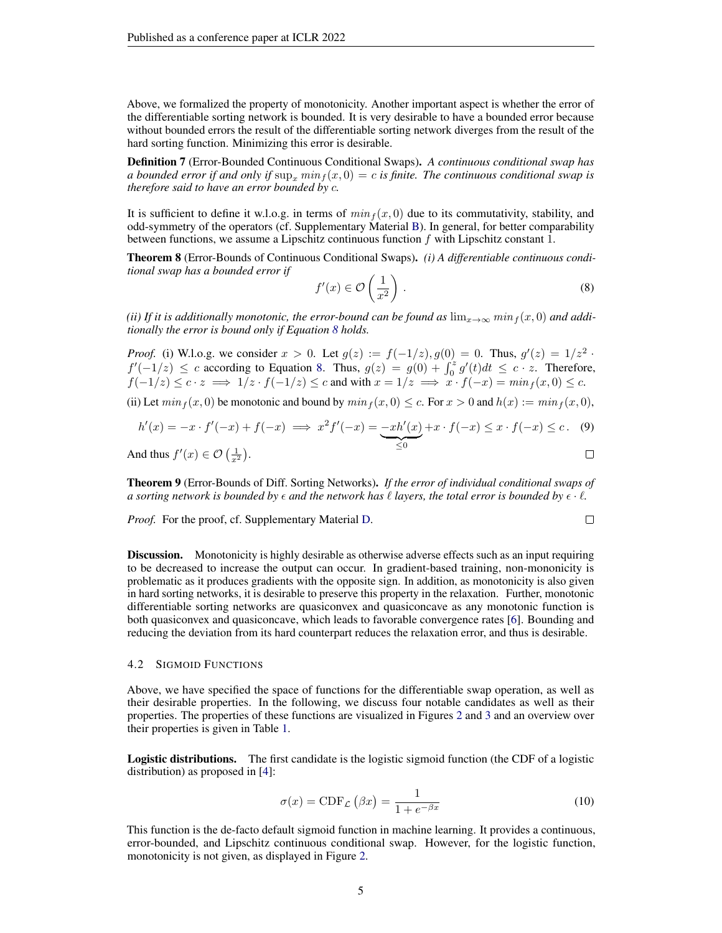Above, we formalized the property of monotonicity. Another important aspect is whether the error of the differentiable sorting network is bounded. It is very desirable to have a bounded error because without bounded errors the result of the differentiable sorting network diverges from the result of the hard sorting function. Minimizing this error is desirable.

Definition 7 (Error-Bounded Continuous Conditional Swaps). *A continuous conditional swap has a bounded error if and only if*  $\sup_x \min_f (x, 0) = c$  *is finite. The continuous conditional swap is therefore said to have an error bounded by* c*.*

It is sufficient to define it w.l.o.g. in terms of  $min<sub>f</sub>(x, 0)$  due to its commutativity, stability, and odd-symmetry of the operators (cf. Supplementary Material [B\)](#page-11-0). In general, for better comparability between functions, we assume a Lipschitz continuous function f with Lipschitz constant 1.

<span id="page-4-1"></span>Theorem 8 (Error-Bounds of Continuous Conditional Swaps). *(i) A differentiable continuous conditional swap has a bounded error if*

$$
f'(x) \in \mathcal{O}\left(\frac{1}{x^2}\right). \tag{8}
$$

*(ii) If it is additionally monotonic, the error-bound can be found as*  $\lim_{x\to\infty} \min_f(x,0)$  *and additionally the error is bound only if Equation [8](#page-4-1) holds.*

*Proof.* (i) W.l.o.g. we consider  $x > 0$ . Let  $g(z) := f(-1/z)$ ,  $g(0) = 0$ . Thus,  $g'(z) = 1/z^2$ .  $f'(-1/z) \leq c$  according to Equation [8.](#page-4-1) Thus,  $g(z) = g(0) + \int_0^z g'(t)dt \leq c \cdot z$ . Therefore,  $f(-1/z) \leq c \cdot z \implies 1/z \cdot f(-1/z) \leq c$  and with  $x = 1/z \implies x \cdot f(-x) = min_f(x, 0) \leq c$ .

(ii) Let  $min_f (x, 0)$  be monotonic and bound by  $min_f (x, 0) \le c$ . For  $x > 0$  and  $h(x) := min_f (x, 0)$ ,

$$
h'(x) = -x \cdot f'(-x) + f(-x) \implies x^2 f'(-x) = -xh'(x) + x \cdot f(-x) \le x \cdot f(-x) \le c. \tag{9}
$$
  
And thus  $f'(x) \in \mathcal{O}\left(\frac{1}{x^2}\right)$ .

Theorem 9 (Error-Bounds of Diff. Sorting Networks). *If the error of individual conditional swaps of a sorting network is bounded by*  $\epsilon$  *and the network has*  $\ell$  *layers, the total error is bounded by*  $\epsilon \cdot \ell$ *.* 

*Proof.* For the proof, cf. Supplementary Material [D.](#page-14-0)

$$
\qquad \qquad \Box
$$

**Discussion.** Monotonicity is highly desirable as otherwise adverse effects such as an input requiring to be decreased to increase the output can occur. In gradient-based training, non-mononicity is problematic as it produces gradients with the opposite sign. In addition, as monotonicity is also given in hard sorting networks, it is desirable to preserve this property in the relaxation. Further, monotonic differentiable sorting networks are quasiconvex and quasiconcave as any monotonic function is both quasiconvex and quasiconcave, which leads to favorable convergence rates [\[6\]](#page-9-5). Bounding and reducing the deviation from its hard counterpart reduces the relaxation error, and thus is desirable.

#### <span id="page-4-0"></span>4.2 SIGMOID FUNCTIONS

Above, we have specified the space of functions for the differentiable swap operation, as well as their desirable properties. In the following, we discuss four notable candidates as well as their properties. The properties of these functions are visualized in Figures [2](#page-6-0) and [3](#page-6-2) and an overview over their properties is given in Table [1.](#page-5-0)

Logistic distributions. The first candidate is the logistic sigmoid function (the CDF of a logistic distribution) as proposed in [\[4\]](#page-9-3):

<span id="page-4-2"></span>
$$
\sigma(x) = \text{CDF}_{\mathcal{L}}(\beta x) = \frac{1}{1 + e^{-\beta x}}
$$
\n(10)

This function is the de-facto default sigmoid function in machine learning. It provides a continuous, error-bounded, and Lipschitz continuous conditional swap. However, for the logistic function, monotonicity is not given, as displayed in Figure [2.](#page-6-0)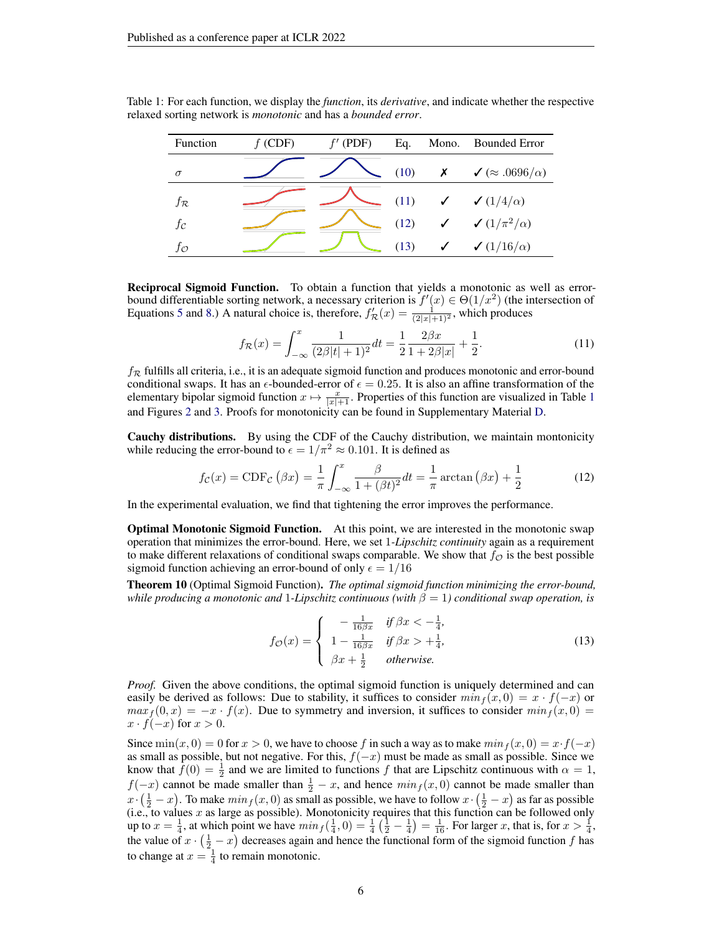| Function          | $f$ (CDF) | $f'$ (PDF) | Eq.  | Mono. Bounded Error                          |  |  |
|-------------------|-----------|------------|------|----------------------------------------------|--|--|
| $\sigma$          |           |            | (10) | $\chi \qquad \sqrt{\alpha} .0696/\alpha)$    |  |  |
| $f_{\mathcal{R}}$ |           |            |      | (11) $\checkmark$ $(1/4/\alpha)$             |  |  |
| $f_{\mathcal{C}}$ |           |            | (12) | $\checkmark$ $\checkmark$ $(1/\pi^2/\alpha)$ |  |  |
| JΟ                |           |            | (13) | $\checkmark$ (1/16/ $\alpha$ )               |  |  |

<span id="page-5-0"></span>Table 1: For each function, we display the *function*, its *derivative*, and indicate whether the respective relaxed sorting network is *monotonic* and has a *bounded error*.

Reciprocal Sigmoid Function. To obtain a function that yields a monotonic as well as errorbound differentiable sorting network, a necessary criterion is  $f'(x) \in \Theta(1/x^2)$  (the intersection of Equations [5](#page-3-0) and [8.](#page-4-1)) A natural choice is, therefore,  $f'_{\mathcal{R}}(x) = \frac{1}{(2|x|+1)^2}$ , which produces

<span id="page-5-2"></span><span id="page-5-1"></span>
$$
f_{\mathcal{R}}(x) = \int_{-\infty}^{x} \frac{1}{(2\beta|t|+1)^2} dt = \frac{1}{2} \frac{2\beta x}{1 + 2\beta|x|} + \frac{1}{2}.
$$
 (11)

 $f_{\mathcal{R}}$  fulfills all criteria, i.e., it is an adequate sigmoid function and produces monotonic and error-bound conditional swaps. It has an  $\epsilon$ -bounded-error of  $\epsilon = 0.25$ . It is also an affine transformation of the elementary bipolar sigmoid function  $x \mapsto \frac{x}{|x|+1}$  $x \mapsto \frac{x}{|x|+1}$  $x \mapsto \frac{x}{|x|+1}$ . Properties of this function are visualized in Table 1 and Figures [2](#page-6-0) and [3.](#page-6-2) Proofs for monotonicity can be found in Supplementary Material [D.](#page-14-0)

Cauchy distributions. By using the CDF of the Cauchy distribution, we maintain montonicity while reducing the error-bound to  $\epsilon = 1/\pi^2 \approx 0.101$ . It is defined as

$$
f_{\mathcal{C}}(x) = \text{CDF}_{\mathcal{C}}\left(\beta x\right) = \frac{1}{\pi} \int_{-\infty}^{x} \frac{\beta}{1 + (\beta t)^2} dt = \frac{1}{\pi} \arctan\left(\beta x\right) + \frac{1}{2}
$$
(12)

In the experimental evaluation, we find that tightening the error improves the performance.

Optimal Monotonic Sigmoid Function. At this point, we are interested in the monotonic swap operation that minimizes the error-bound. Here, we set 1*-Lipschitz continuity* again as a requirement to make different relaxations of conditional swaps comparable. We show that  $f_{\mathcal{O}}$  is the best possible sigmoid function achieving an error-bound of only  $\epsilon = 1/16$ 

<span id="page-5-3"></span>Theorem 10 (Optimal Sigmoid Function). *The optimal sigmoid function minimizing the error-bound, while producing a monotonic and* 1*-Lipschitz continuous (with*  $\beta = 1$ ) conditional swap operation, is

$$
f_{\mathcal{O}}(x) = \begin{cases} -\frac{1}{16\beta x} & \text{if } \beta x < -\frac{1}{4}, \\ 1 - \frac{1}{16\beta x} & \text{if } \beta x > +\frac{1}{4}, \\ \beta x + \frac{1}{2} & \text{otherwise.} \end{cases}
$$
(13)

*Proof.* Given the above conditions, the optimal sigmoid function is uniquely determined and can easily be derived as follows: Due to stability, it suffices to consider  $min_f(x, 0) = x \cdot f(-x)$  or  $max<sub>f</sub>(0, x) = -x \cdot f(x)$ . Due to symmetry and inversion, it suffices to consider  $min<sub>f</sub>(x, 0) =$  $x \cdot f(-x)$  for  $x > 0$ .

Since  $\min(x, 0) = 0$  for  $x > 0$ , we have to choose f in such a way as to make  $\min_f(x, 0) = x \cdot f(-x)$ as small as possible, but not negative. For this,  $f(-x)$  must be made as small as possible. Since we know that  $\hat{f}(0) = \frac{1}{2}$  and we are limited to functions f that are Lipschitz continuous with  $\alpha = 1$ ,  $f(-x)$  cannot be made smaller than  $\frac{1}{2} - x$ , and hence  $min_f(x, 0)$  cannot be made smaller than  $x \cdot (\frac{1}{2} - x)$ . To make  $min_f(x, 0)$  as small as possible, we have to follow  $x \cdot (\frac{1}{2} - x)$  as far as possible (i.e., to values  $x$  as large as possible). Monotonicity requires that this function can be followed only up to  $x = \frac{1}{4}$ , at which point we have  $min_f(\frac{1}{4}, 0) = \frac{1}{4}(\frac{1}{2} - \frac{1}{4}) = \frac{1}{16}$ . For larger x, that is, for  $x > \frac{1}{4}$ , the value of  $x \cdot (\frac{1}{2} - x)$  decreases again and hence the functional form of the sigmoid function f has to change at  $x = \frac{1}{4}$  to remain monotonic.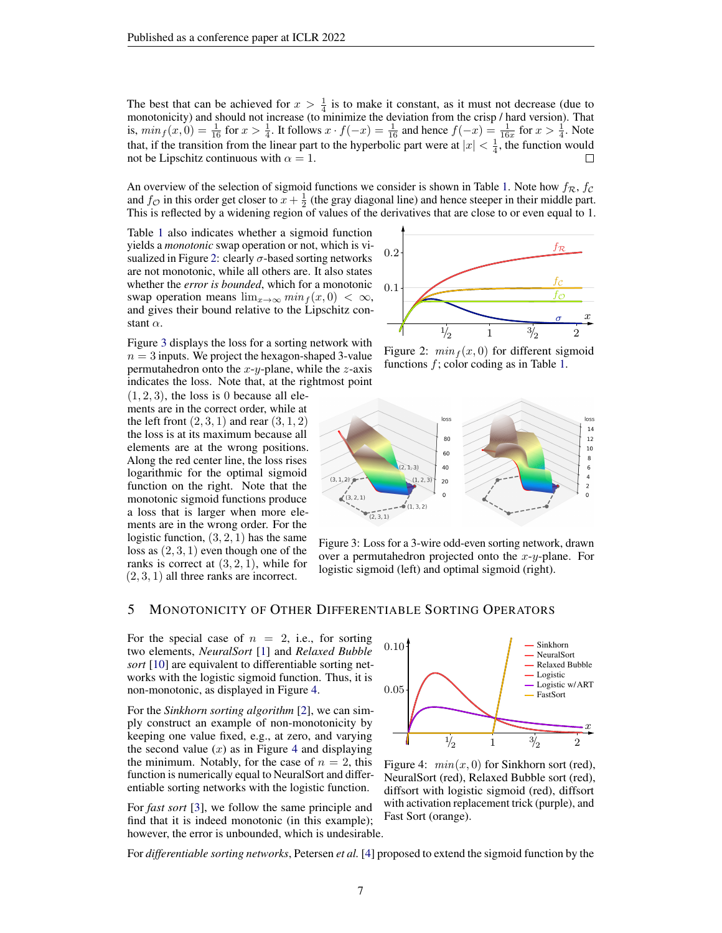The best that can be achieved for  $x > \frac{1}{4}$  is to make it constant, as it must not decrease (due to monotonicity) and should not increase (to minimize the deviation from the crisp / hard version). That is,  $min_f(x, 0) = \frac{1}{16}$  for  $x > \frac{1}{4}$ . It follows  $x \cdot f(-x) = \frac{1}{16}$  and hence  $f(-x) = \frac{1}{16x}$  for  $x > \frac{1}{4}$ . Note that, if the transition from the linear part to the hyperbolic part were at  $|x| < \frac{1}{4}$ , the function would not be Lipschitz continuous with  $\alpha = 1$ .

An overview of the selection of sigmoid functions we consider is shown in Table [1.](#page-5-0) Note how  $f_{\mathcal{R}}$ ,  $f_{\mathcal{C}}$ and  $f_{\mathcal{O}}$  in this order get closer to  $x + \frac{1}{2}$  (the gray diagonal line) and hence steeper in their middle part. This is reflected by a widening region of values of the derivatives that are close to or even equal to 1.

Table [1](#page-5-0) also indicates whether a sigmoid function yields a *monotonic* swap operation or not, which is vi-sualized in Figure [2:](#page-6-0) clearly  $\sigma$ -based sorting networks are not monotonic, while all others are. It also states whether the *error is bounded*, which for a monotonic swap operation means  $\lim_{x\to\infty} min_f(x, 0) < \infty$ , and gives their bound relative to the Lipschitz constant  $\alpha$ .

Figure [3](#page-6-2) displays the loss for a sorting network with  $n = 3$  inputs. We project the hexagon-shaped 3-value permutahedron onto the  $x-y$ -plane, while the  $z$ -axis indicates the loss. Note that, at the rightmost point

 $(1, 2, 3)$ , the loss is 0 because all elements are in the correct order, while at the left front  $(2, 3, 1)$  and rear  $(3, 1, 2)$ the loss is at its maximum because all elements are at the wrong positions. Along the red center line, the loss rises logarithmic for the optimal sigmoid function on the right. Note that the monotonic sigmoid functions produce a loss that is larger when more elements are in the wrong order. For the logistic function,  $(3, 2, 1)$  has the same loss as  $(2, 3, 1)$  even though one of the ranks is correct at  $(3, 2, 1)$ , while for  $(2, 3, 1)$  all three ranks are incorrect.

<span id="page-6-0"></span>

Figure 2:  $min<sub>f</sub>(x, 0)$  for different sigmoid functions  $f$ ; color coding as in Table [1.](#page-5-0)

<span id="page-6-2"></span>

Figure 3: Loss for a 3-wire odd-even sorting network, drawn over a permutahedron projected onto the  $x-y$ -plane. For logistic sigmoid (left) and optimal sigmoid (right).

### 5 MONOTONICITY OF OTHER DIFFERENTIABLE SORTING OPERATORS

For the special case of  $n = 2$ , i.e., for sorting two elements, *NeuralSort* [\[1\]](#page-9-0) and *Relaxed Bubble sort* [\[10\]](#page-9-9) are equivalent to differentiable sorting networks with the logistic sigmoid function. Thus, it is non-monotonic, as displayed in Figure [4.](#page-6-1)

For the *Sinkhorn sorting algorithm* [\[2\]](#page-9-1), we can simply construct an example of non-monotonicity by keeping one value fixed, e.g., at zero, and varying the second value  $(x)$  as in Figure [4](#page-6-1) and displaying the minimum. Notably, for the case of  $n = 2$ , this function is numerically equal to NeuralSort and differentiable sorting networks with the logistic function.

For *fast sort* [\[3\]](#page-9-2), we follow the same principle and find that it is indeed monotonic (in this example); however, the error is unbounded, which is undesirable.

<span id="page-6-1"></span>

Figure 4:  $min(x, 0)$  for Sinkhorn sort (red), NeuralSort (red), Relaxed Bubble sort (red), diffsort with logistic sigmoid (red), diffsort with activation replacement trick (purple), and Fast Sort (orange).

For *differentiable sorting networks*, Petersen *et al.* [\[4\]](#page-9-3) proposed to extend the sigmoid function by the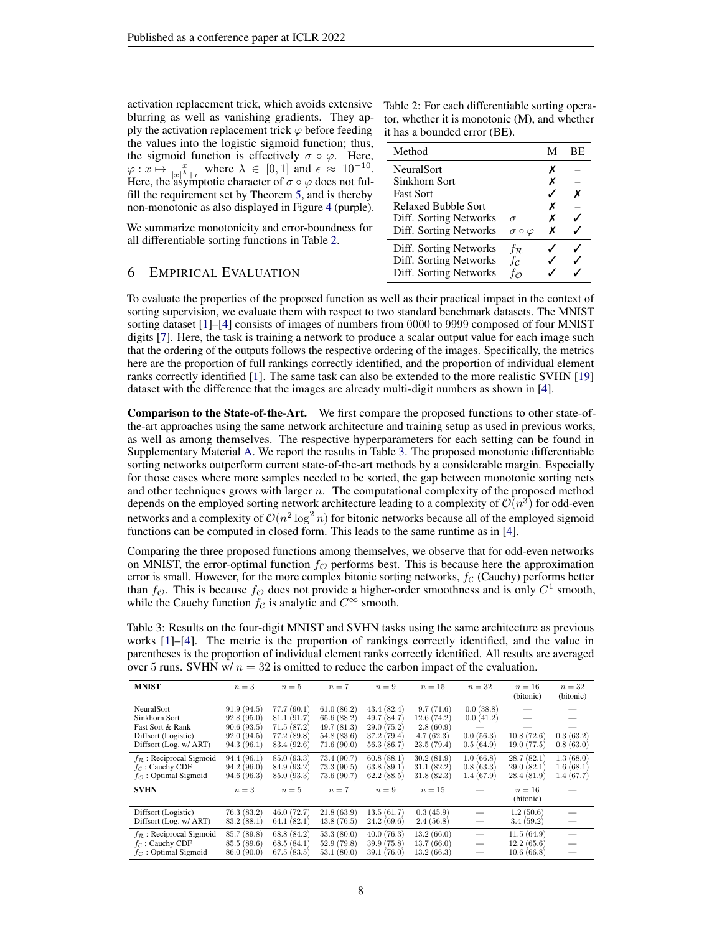activation replacement trick, which avoids extensive blurring as well as vanishing gradients. They apply the activation replacement trick  $\varphi$  before feeding the values into the logistic sigmoid function; thus, the sigmoid function is effectively  $\sigma \circ \varphi$ . Here,  $\varphi: x \mapsto \frac{x}{|x|^{\lambda}+\epsilon}$  where  $\lambda \in [0,1]$  and  $\epsilon \approx 10^{-10}$ . Here, the asymptotic character of  $\sigma \circ \varphi$  does not fulfill the requirement set by Theorem [5,](#page-3-1) and is thereby non-monotonic as also displayed in Figure [4](#page-6-1) (purple).

We summarize monotonicity and error-boundness for all differentiable sorting functions in Table [2.](#page-7-1)

### <span id="page-7-1"></span>Table 2: For each differentiable sorting operator, whether it is monotonic (M), and whether it has a bounded error (BE).

| Method                 |                        | М | BE. |
|------------------------|------------------------|---|-----|
| <b>NeuralSort</b>      |                        | х |     |
| Sinkhorn Sort          |                        | Х |     |
| <b>Fast Sort</b>       |                        |   | х   |
| Relaxed Bubble Sort    |                        | х |     |
| Diff. Sorting Networks | $\sigma$               | х |     |
| Diff. Sorting Networks | $\sigma \circ \varphi$ | х |     |
| Diff. Sorting Networks | $f_{\mathcal{R}}$      |   |     |
| Diff. Sorting Networks | fc                     |   |     |
| Diff. Sorting Networks | $f_{\mathcal{O}}$      |   |     |

# <span id="page-7-0"></span>6 EMPIRICAL EVALUATION

To evaluate the properties of the proposed function as well as their practical impact in the context of sorting supervision, we evaluate them with respect to two standard benchmark datasets. The MNIST sorting dataset [\[1\]](#page-9-0)–[\[4\]](#page-9-3) consists of images of numbers from 0000 to 9999 composed of four MNIST digits [\[7\]](#page-9-6). Here, the task is training a network to produce a scalar output value for each image such that the ordering of the outputs follows the respective ordering of the images. Specifically, the metrics here are the proportion of full rankings correctly identified, and the proportion of individual element ranks correctly identified [\[1\]](#page-9-0). The same task can also be extended to the more realistic SVHN [\[19\]](#page-9-18) dataset with the difference that the images are already multi-digit numbers as shown in [\[4\]](#page-9-3).

Comparison to the State-of-the-Art. We first compare the proposed functions to other state-ofthe-art approaches using the same network architecture and training setup as used in previous works, as well as among themselves. The respective hyperparameters for each setting can be found in Supplementary Material [A.](#page-11-1) We report the results in Table [3.](#page-7-2) The proposed monotonic differentiable sorting networks outperform current state-of-the-art methods by a considerable margin. Especially for those cases where more samples needed to be sorted, the gap between monotonic sorting nets and other techniques grows with larger  $n$ . The computational complexity of the proposed method depends on the employed sorting network architecture leading to a complexity of  $\mathcal{O}(n^3)$  for odd-even networks and a complexity of  $\mathcal{O}(n^2 \log^2 n)$  for bitonic networks because all of the employed sigmoid functions can be computed in closed form. This leads to the same runtime as in [\[4\]](#page-9-3).

Comparing the three proposed functions among themselves, we observe that for odd-even networks on MNIST, the error-optimal function  $f_{\mathcal{O}}$  performs best. This is because here the approximation error is small. However, for the more complex bitonic sorting networks,  $f_c$  (Cauchy) performs better than  $f_{\mathcal{O}}$ . This is because  $f_{\mathcal{O}}$  does not provide a higher-order smoothness and is only  $C^1$  smooth, while the Cauchy function  $f_C$  is analytic and  $C^{\infty}$  smooth.

<span id="page-7-2"></span>Table 3: Results on the four-digit MNIST and SVHN tasks using the same architecture as previous works [\[1\]](#page-9-0)–[\[4\]](#page-9-3). The metric is the proportion of rankings correctly identified, and the value in parentheses is the proportion of individual element ranks correctly identified. All results are averaged over 5 runs. SVHN w/ $n = 32$  is omitted to reduce the carbon impact of the evaluation.

| <b>MNIST</b>                                                                                        | $n=3$                                                              | $n=5$                                                               | $n=7$                                                              | $n=9$                                                              | $n=15$                                                          | $n=32$                                           | $n=16$<br>(bitonic)                    | $n=32$<br>(bitonic)                 |
|-----------------------------------------------------------------------------------------------------|--------------------------------------------------------------------|---------------------------------------------------------------------|--------------------------------------------------------------------|--------------------------------------------------------------------|-----------------------------------------------------------------|--------------------------------------------------|----------------------------------------|-------------------------------------|
| NeuralSort<br>Sinkhorn Sort<br>Fast Sort & Rank<br>Diffsort (Logistic)<br>Diffsort (Log. w/ ART)    | 91.9(94.5)<br>92.8(95.0)<br>90.6(93.5)<br>92.0(94.5)<br>94.3(96.1) | 77.7(90.1)<br>81.1(91.7)<br>71.5(87.2)<br>77.2(89.8)<br>83.4 (92.6) | 61.0(86.2)<br>65.6(88.2)<br>49.7(81.3)<br>54.8(83.6)<br>71.6(90.0) | 43.4(82.4)<br>49.7(84.7)<br>29.0(75.2)<br>37.2(79.4)<br>56.3(86.7) | 9.7(71.6)<br>12.6(74.2)<br>2.8(60.9)<br>4.7(62.3)<br>23.5(79.4) | 0.0(38.8)<br>0.0(41.2)<br>0.0(56.3)<br>0.5(64.9) | 10.8(72.6)<br>19.0(77.5)               | 0.3(63.2)<br>0.8(63.0)              |
| $f_{\mathcal{R}}$ : Reciprocal Sigmoid<br>$f_c$ : Cauchy CDF<br>$f_{\mathcal{O}}$ : Optimal Sigmoid | 94.4(96.1)<br>94.2(96.0)<br>94.6(96.3)                             | 85.0(93.3)<br>84.9 (93.2)<br>85.0 (93.3)                            | 73.4 (90.7)<br>73.3(90.5)<br>73.6(90.7)                            | 60.8(88.1)<br>63.8(89.1)<br>62.2(88.5)                             | 30.2(81.9)<br>31.1(82.2)<br>31.8(82.3)                          | 1.0(66.8)<br>0.8(63.3)<br>1.4(67.9)              | 28.7(82.1)<br>29.0(82.1)<br>28.4(81.9) | 1.3(68.0)<br>1.6(68.1)<br>1.4(67.7) |
| <b>SVHN</b>                                                                                         | $n=3$                                                              | $n=5$                                                               | $n=7$                                                              | $n=9$                                                              | $n=15$                                                          |                                                  | $n=16$<br>(bitonic)                    |                                     |
| Diffsort (Logistic)<br>Diffsort (Log. w/ ART)                                                       | 76.3(83.2)<br>83.2(88.1)                                           | 46.0(72.7)<br>64.1(82.1)                                            | 21.8(63.9)<br>43.8(76.5)                                           | 13.5(61.7)<br>24.2(69.6)                                           | 0.3(45.9)<br>2.4(56.8)                                          |                                                  | 1.2(50.6)<br>3.4(59.2)                 |                                     |
| $f_{\mathcal{R}}$ : Reciprocal Sigmoid<br>$f_c$ : Cauchy CDF<br>$f_{\mathcal{O}}$ : Optimal Sigmoid | 85.7 (89.8)<br>85.5(89.6)<br>86.0(90.0)                            | 68.8(84.2)<br>68.5(84.1)<br>67.5(83.5)                              | 53.3(80.0)<br>52.9(79.8)<br>53.1(80.0)                             | 40.0(76.3)<br>39.9(75.8)<br>39.1(76.0)                             | 13.2(66.0)<br>13.7(66.0)<br>13.2(66.3)                          |                                                  | 11.5(64.9)<br>12.2(65.6)<br>10.6(66.8) |                                     |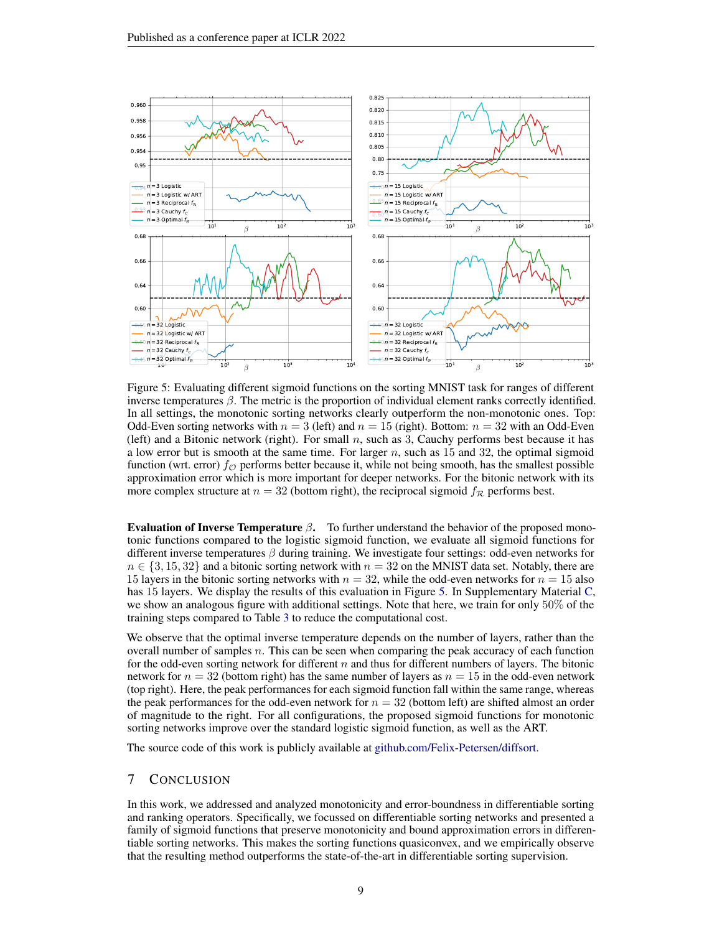<span id="page-8-0"></span>

Figure 5: Evaluating different sigmoid functions on the sorting MNIST task for ranges of different inverse temperatures  $\beta$ . The metric is the proportion of individual element ranks correctly identified. In all settings, the monotonic sorting networks clearly outperform the non-monotonic ones. Top: Odd-Even sorting networks with  $n = 3$  (left) and  $n = 15$  (right). Bottom:  $n = 32$  with an Odd-Even (left) and a Bitonic network (right). For small  $n$ , such as 3, Cauchy performs best because it has a low error but is smooth at the same time. For larger  $n$ , such as 15 and 32, the optimal sigmoid function (wrt. error)  $f_{\mathcal{O}}$  performs better because it, while not being smooth, has the smallest possible approximation error which is more important for deeper networks. For the bitonic network with its more complex structure at  $n = 32$  (bottom right), the reciprocal sigmoid  $f_{\mathcal{R}}$  performs best.

Evaluation of Inverse Temperature  $β$ . To further understand the behavior of the proposed monotonic functions compared to the logistic sigmoid function, we evaluate all sigmoid functions for different inverse temperatures  $\beta$  during training. We investigate four settings: odd-even networks for  $n \in \{3, 15, 32\}$  and a bitonic sorting network with  $n = 32$  on the MNIST data set. Notably, there are 15 layers in the bitonic sorting networks with  $n = 32$ , while the odd-even networks for  $n = 15$  also has 15 layers. We display the results of this evaluation in Figure [5.](#page-8-0) In Supplementary Material [C,](#page-12-0) we show an analogous figure with additional settings. Note that here, we train for only 50% of the training steps compared to Table [3](#page-7-2) to reduce the computational cost.

We observe that the optimal inverse temperature depends on the number of layers, rather than the overall number of samples  $n$ . This can be seen when comparing the peak accuracy of each function for the odd-even sorting network for different  $n$  and thus for different numbers of layers. The bitonic network for  $n = 32$  (bottom right) has the same number of layers as  $n = 15$  in the odd-even network (top right). Here, the peak performances for each sigmoid function fall within the same range, whereas the peak performances for the odd-even network for  $n = 32$  (bottom left) are shifted almost an order of magnitude to the right. For all configurations, the proposed sigmoid functions for monotonic sorting networks improve over the standard logistic sigmoid function, as well as the ART.

The source code of this work is publicly available at [github.com/Felix-Petersen/diffsort.](https://github.com/Felix-Petersen/diffsort)

# 7 CONCLUSION

In this work, we addressed and analyzed monotonicity and error-boundness in differentiable sorting and ranking operators. Specifically, we focussed on differentiable sorting networks and presented a family of sigmoid functions that preserve monotonicity and bound approximation errors in differentiable sorting networks. This makes the sorting functions quasiconvex, and we empirically observe that the resulting method outperforms the state-of-the-art in differentiable sorting supervision.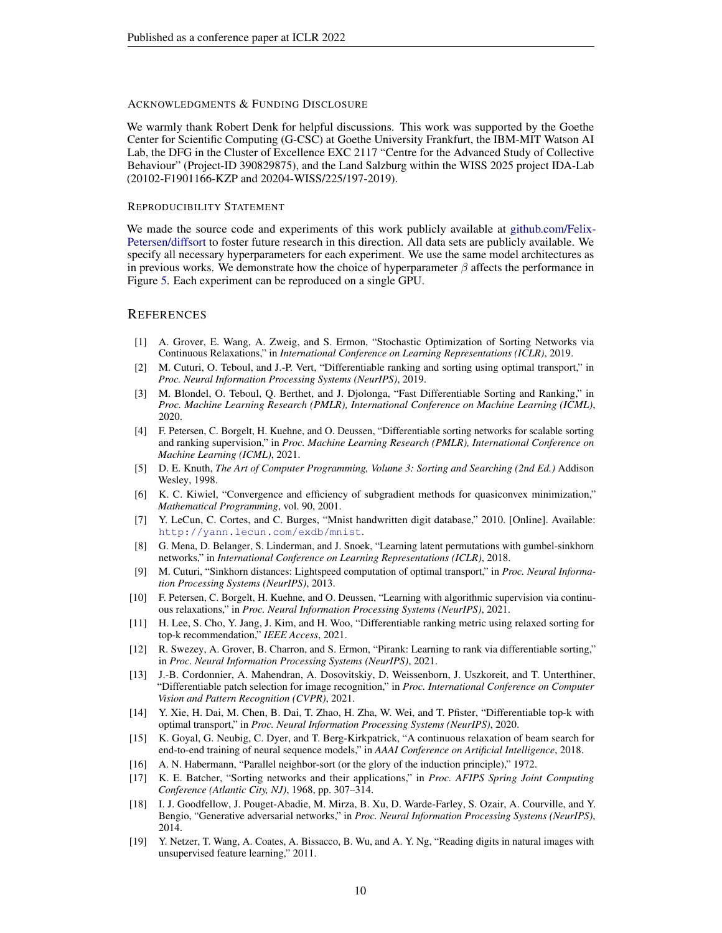#### ACKNOWLEDGMENTS & FUNDING DISCLOSURE

We warmly thank Robert Denk for helpful discussions. This work was supported by the Goethe Center for Scientific Computing (G-CSC) at Goethe University Frankfurt, the IBM-MIT Watson AI Lab, the DFG in the Cluster of Excellence EXC 2117 "Centre for the Advanced Study of Collective Behaviour" (Project-ID 390829875), and the Land Salzburg within the WISS 2025 project IDA-Lab (20102-F1901166-KZP and 20204-WISS/225/197-2019).

#### REPRODUCIBILITY STATEMENT

We made the source code and experiments of this work publicly available at [github.com/Felix-](https://github.com/Felix-Petersen/diffsort)[Petersen/diffsort](https://github.com/Felix-Petersen/diffsort) to foster future research in this direction. All data sets are publicly available. We specify all necessary hyperparameters for each experiment. We use the same model architectures as in previous works. We demonstrate how the choice of hyperparameter  $\beta$  affects the performance in Figure [5.](#page-8-0) Each experiment can be reproduced on a single GPU.

#### **REFERENCES**

- <span id="page-9-0"></span>[1] A. Grover, E. Wang, A. Zweig, and S. Ermon, "Stochastic Optimization of Sorting Networks via Continuous Relaxations," in *International Conference on Learning Representations (ICLR)*, 2019.
- <span id="page-9-1"></span>[2] M. Cuturi, O. Teboul, and J.-P. Vert, "Differentiable ranking and sorting using optimal transport," in *Proc. Neural Information Processing Systems (NeurIPS)*, 2019.
- <span id="page-9-2"></span>[3] M. Blondel, O. Teboul, Q. Berthet, and J. Djolonga, "Fast Differentiable Sorting and Ranking," in *Proc. Machine Learning Research (PMLR), International Conference on Machine Learning (ICML)*, 2020.
- <span id="page-9-3"></span>[4] F. Petersen, C. Borgelt, H. Kuehne, and O. Deussen, "Differentiable sorting networks for scalable sorting and ranking supervision," in *Proc. Machine Learning Research (PMLR), International Conference on Machine Learning (ICML)*, 2021.
- <span id="page-9-4"></span>[5] D. E. Knuth, *The Art of Computer Programming, Volume 3: Sorting and Searching (2nd Ed.)* Addison Wesley, 1998.
- <span id="page-9-5"></span>[6] K. C. Kiwiel, "Convergence and efficiency of subgradient methods for quasiconvex minimization," *Mathematical Programming*, vol. 90, 2001.
- <span id="page-9-6"></span>[7] Y. LeCun, C. Cortes, and C. Burges, "Mnist handwritten digit database," 2010. [Online]. Available: <http://yann.lecun.com/exdb/mnist>.
- <span id="page-9-7"></span>[8] G. Mena, D. Belanger, S. Linderman, and J. Snoek, "Learning latent permutations with gumbel-sinkhorn networks," in *International Conference on Learning Representations (ICLR)*, 2018.
- <span id="page-9-8"></span>[9] M. Cuturi, "Sinkhorn distances: Lightspeed computation of optimal transport," in *Proc. Neural Information Processing Systems (NeurIPS)*, 2013.
- <span id="page-9-9"></span>[10] F. Petersen, C. Borgelt, H. Kuehne, and O. Deussen, "Learning with algorithmic supervision via continuous relaxations," in *Proc. Neural Information Processing Systems (NeurIPS)*, 2021.
- <span id="page-9-10"></span>[11] H. Lee, S. Cho, Y. Jang, J. Kim, and H. Woo, "Differentiable ranking metric using relaxed sorting for top-k recommendation," *IEEE Access*, 2021.
- <span id="page-9-11"></span>[12] R. Swezey, A. Grover, B. Charron, and S. Ermon, "Pirank: Learning to rank via differentiable sorting," in *Proc. Neural Information Processing Systems (NeurIPS)*, 2021.
- <span id="page-9-12"></span>[13] J.-B. Cordonnier, A. Mahendran, A. Dosovitskiy, D. Weissenborn, J. Uszkoreit, and T. Unterthiner, "Differentiable patch selection for image recognition," in *Proc. International Conference on Computer Vision and Pattern Recognition (CVPR)*, 2021.
- <span id="page-9-13"></span>[14] Y. Xie, H. Dai, M. Chen, B. Dai, T. Zhao, H. Zha, W. Wei, and T. Pfister, "Differentiable top-k with optimal transport," in *Proc. Neural Information Processing Systems (NeurIPS)*, 2020.
- <span id="page-9-14"></span>[15] K. Goyal, G. Neubig, C. Dyer, and T. Berg-Kirkpatrick, "A continuous relaxation of beam search for end-to-end training of neural sequence models," in *AAAI Conference on Artificial Intelligence*, 2018.
- <span id="page-9-15"></span>[16] A. N. Habermann, "Parallel neighbor-sort (or the glory of the induction principle)," 1972.
- <span id="page-9-16"></span>[17] K. E. Batcher, "Sorting networks and their applications," in *Proc. AFIPS Spring Joint Computing Conference (Atlantic City, NJ)*, 1968, pp. 307–314.
- <span id="page-9-17"></span>[18] I. J. Goodfellow, J. Pouget-Abadie, M. Mirza, B. Xu, D. Warde-Farley, S. Ozair, A. Courville, and Y. Bengio, "Generative adversarial networks," in *Proc. Neural Information Processing Systems (NeurIPS)*, 2014.
- <span id="page-9-18"></span>[19] Y. Netzer, T. Wang, A. Coates, A. Bissacco, B. Wu, and A. Y. Ng, "Reading digits in natural images with unsupervised feature learning," 2011.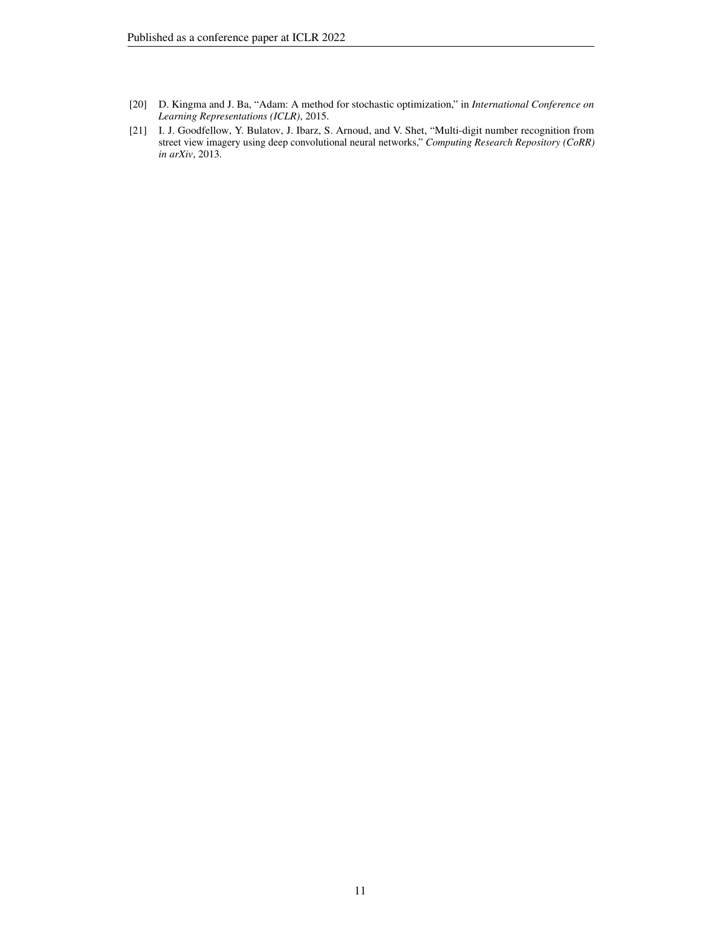- <span id="page-10-0"></span>[20] D. Kingma and J. Ba, "Adam: A method for stochastic optimization," in *International Conference on Learning Representations (ICLR)*, 2015.
- <span id="page-10-1"></span>[21] I. J. Goodfellow, Y. Bulatov, J. Ibarz, S. Arnoud, and V. Shet, "Multi-digit number recognition from street view imagery using deep convolutional neural networks," *Computing Research Repository (CoRR) in arXiv*, 2013.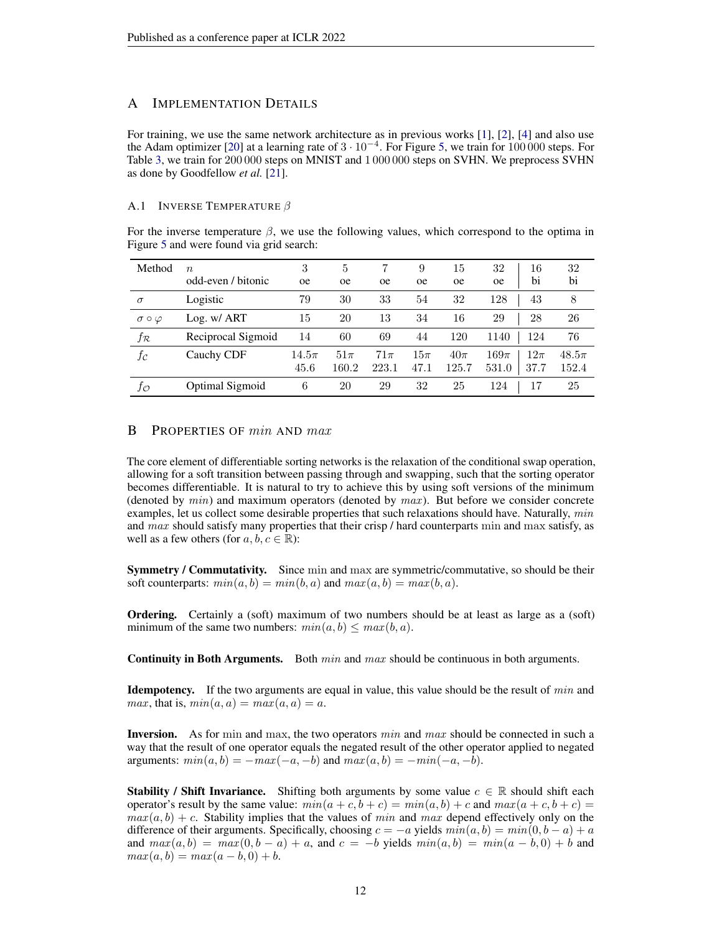### <span id="page-11-1"></span>A IMPLEMENTATION DETAILS

For training, we use the same network architecture as in previous works [\[1\]](#page-9-0), [\[2\]](#page-9-1), [\[4\]](#page-9-3) and also use the Adam optimizer [\[20\]](#page-10-0) at a learning rate of  $3 \cdot 10^{-4}$ . For Figure [5,](#page-8-0) we train for 100 000 steps. For Table [3,](#page-7-2) we train for 200 000 steps on MNIST and 1 000 000 steps on SVHN. We preprocess SVHN as done by Goodfellow *et al.* [\[21\]](#page-10-1).

### A.1 INVERSE TEMPERATURE  $\beta$

For the inverse temperature  $\beta$ , we use the following values, which correspond to the optima in Figure [5](#page-8-0) and were found via grid search:

| Method                 | $\boldsymbol{n}$   | 3             | $\overline{5}$ |               | 9             | 15            | 32            | 16      | 32        |
|------------------------|--------------------|---------------|----------------|---------------|---------------|---------------|---------------|---------|-----------|
|                        | odd-even / bitonic | <sub>oe</sub> | <sub>0e</sub>  | <sub>0e</sub> | <sub>oe</sub> | <sub>oe</sub> | <sub>oe</sub> | bi      | bi        |
| $\sigma$               | Logistic           | 79            | 30             | 33            | 54            | 32            | 128           | 43      | 8         |
| $\sigma \circ \varphi$ | Log. w/ ART        | 15            | 20             | 13            | 34            | 16            | 29            | 28      | 26        |
| $f_{\mathcal{R}}$      | Reciprocal Sigmoid | 14            | 60             | 69            | 44            | 120           | 1140          | 124     | 76        |
| fc                     | Cauchy CDF         | $14.5\pi$     | $51\pi$        | $71\pi$       | $15\pi$       | $40\pi$       | $169\pi$      | $12\pi$ | $48.5\pi$ |
|                        |                    | 45.6          | 160.2          | 223.1         | 47.1          | 125.7         | 531.0         | 37.7    | 152.4     |
| fο                     | Optimal Sigmoid    | 6             | 20             | 29            | 32            | 25            | 124           | 17      | 25        |

# <span id="page-11-0"></span>B PROPERTIES OF  $min$  AND  $max$

The core element of differentiable sorting networks is the relaxation of the conditional swap operation, allowing for a soft transition between passing through and swapping, such that the sorting operator becomes differentiable. It is natural to try to achieve this by using soft versions of the minimum (denoted by  $min$ ) and maximum operators (denoted by  $max$ ). But before we consider concrete examples, let us collect some desirable properties that such relaxations should have. Naturally,  $min$ and  $max$  should satisfy many properties that their crisp / hard counterparts min and max satisfy, as well as a few others (for  $a, b, c \in \mathbb{R}$ ):

Symmetry / Commutativity. Since min and max are symmetric/commutative, so should be their soft counterparts:  $min(a, b) = min(b, a)$  and  $max(a, b) = max(b, a)$ .

**Ordering.** Certainly a (soft) maximum of two numbers should be at least as large as a (soft) minimum of the same two numbers:  $min(a, b) \leq max(b, a)$ .

**Continuity in Both Arguments.** Both  $min$  and  $max$  should be continuous in both arguments.

**Idempotency.** If the two arguments are equal in value, this value should be the result of  $min$  and *max*, that is,  $min(a, a) = max(a, a) = a$ .

**Inversion.** As for min and max, the two operators  $min$  and  $max$  should be connected in such a way that the result of one operator equals the negated result of the other operator applied to negated arguments:  $min(a, b) = -max(-a, -b)$  and  $max(a, b) = -min(-a, -b)$ .

**Stability / Shift Invariance.** Shifting both arguments by some value  $c \in \mathbb{R}$  should shift each operator's result by the same value:  $min(a + c, b + c) = min(a, b) + c$  and  $max(a + c, b + c) =$  $max(a, b) + c$ . Stability implies that the values of min and max depend effectively only on the difference of their arguments. Specifically, choosing  $c = -a$  yields  $min(a, b) = min(0, b - a) + a$ and  $max(a, b) = max(0, b - a) + a$ , and  $c = -b$  yields  $min(a, b) = min(a - b, 0) + b$  and  $max(a, b) = max(a - b, 0) + b.$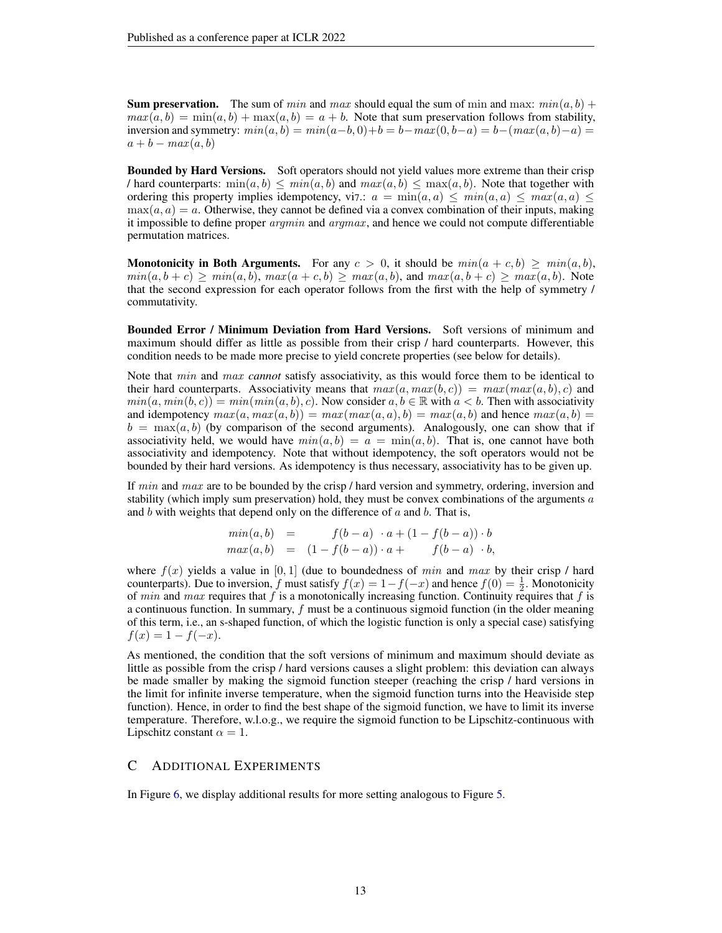**Sum preservation.** The sum of *min* and *max* should equal the sum of min and max:  $min(a, b)$  +  $max(a, b) = min(a, b) + max(a, b) = a + b$ . Note that sum preservation follows from stability, inversion and symmetry:  $min(a, b) = min(a - b, 0) + b = b - max(0, b - a) = b - (max(a, b) - a) =$  $a + b - max(a, b)$ 

Bounded by Hard Versions. Soft operators should not yield values more extreme than their crisp / hard counterparts:  $\min(a, b) \leq \min(a, b)$  and  $\max(a, b) \leq \max(a, b)$ . Note that together with ordering this property implies idempotency, vi7.:  $a = \min(a, a) \leq \min(a, a) \leq \max(a, a) \leq$  $\max(a, a) = a$ . Otherwise, they cannot be defined via a convex combination of their inputs, making it impossible to define proper  $argmin$  and  $argmax$ , and hence we could not compute differentiable permutation matrices.

**Monotonicity in Both Arguments.** For any  $c > 0$ , it should be  $min(a + c, b) \geq min(a, b)$ ,  $min(a, b + c) > min(a, b), max(a + c, b) > max(a, b)$ , and  $max(a, b + c) > max(a, b)$ . Note that the second expression for each operator follows from the first with the help of symmetry / commutativity.

Bounded Error / Minimum Deviation from Hard Versions. Soft versions of minimum and maximum should differ as little as possible from their crisp / hard counterparts. However, this condition needs to be made more precise to yield concrete properties (see below for details).

Note that min and max *cannot* satisfy associativity, as this would force them to be identical to their hard counterparts. Associativity means that  $max(a, max(b, c)) = max(max(a, b), c)$  and  $min(a, min(b, c)) = min(min(a, b), c)$ . Now consider  $a, b \in \mathbb{R}$  with  $a < b$ . Then with associativity and idempotency  $max(a, max(a, b)) = max(max(a, a), b) = max(a, b)$  and hence  $max(a, b) =$  $b = \max(a, b)$  (by comparison of the second arguments). Analogously, one can show that if associativity held, we would have  $min(a, b) = a = min(a, b)$ . That is, one cannot have both associativity and idempotency. Note that without idempotency, the soft operators would not be bounded by their hard versions. As idempotency is thus necessary, associativity has to be given up.

If  $min$  and  $max$  are to be bounded by the crisp / hard version and symmetry, ordering, inversion and stability (which imply sum preservation) hold, they must be convex combinations of the arguments  $a$ and  $b$  with weights that depend only on the difference of  $a$  and  $b$ . That is,

$$
min(a, b) = f(b-a) \cdot a + (1 - f(b-a)) \cdot b \nmax(a, b) = (1 - f(b-a)) \cdot a + f(b-a) \cdot b,
$$

where  $f(x)$  yields a value in [0, 1] (due to boundedness of min and max by their crisp / hard counterparts). Due to inversion, f must satisfy  $f(x) = 1 - f(-x)$  and hence  $f(0) = \frac{1}{2}$ . Monotonicity of *min* and *max* requires that f is a monotonically increasing function. Continuity requires that f is a continuous function. In summary, f must be a continuous sigmoid function (in the older meaning of this term, i.e., an s-shaped function, of which the logistic function is only a special case) satisfying  $f(x) = 1 - f(-x)$ .

As mentioned, the condition that the soft versions of minimum and maximum should deviate as little as possible from the crisp / hard versions causes a slight problem: this deviation can always be made smaller by making the sigmoid function steeper (reaching the crisp / hard versions in the limit for infinite inverse temperature, when the sigmoid function turns into the Heaviside step function). Hence, in order to find the best shape of the sigmoid function, we have to limit its inverse temperature. Therefore, w.l.o.g., we require the sigmoid function to be Lipschitz-continuous with Lipschitz constant  $\alpha = 1$ .

## <span id="page-12-0"></span>C ADDITIONAL EXPERIMENTS

In Figure [6,](#page-13-0) we display additional results for more setting analogous to Figure [5.](#page-8-0)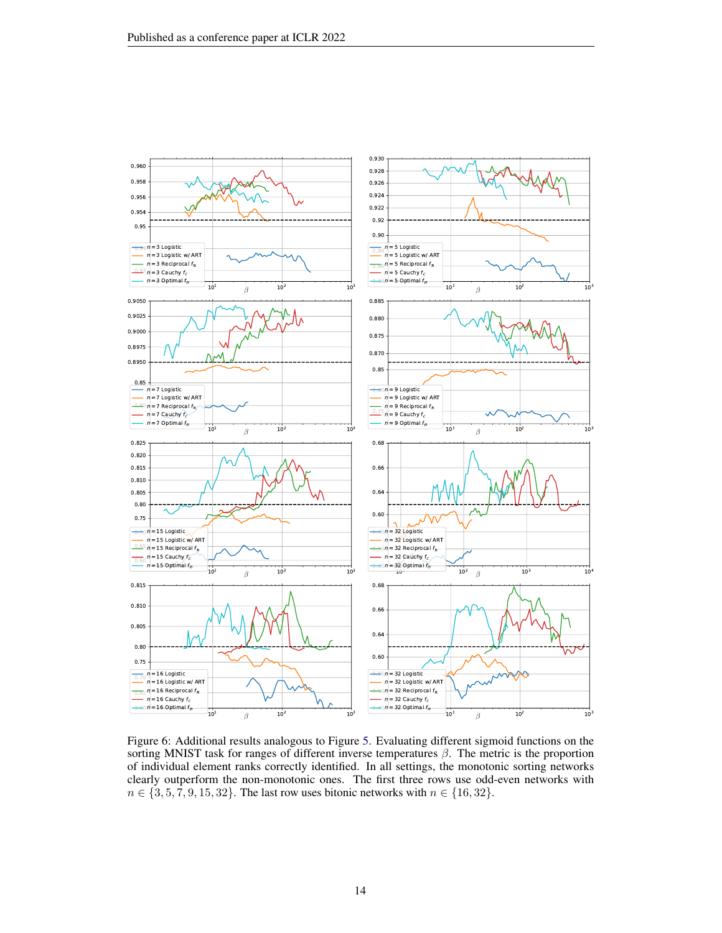<span id="page-13-0"></span>

Figure 6: Additional results analogous to Figure [5.](#page-8-0) Evaluating different sigmoid functions on the sorting MNIST task for ranges of different inverse temperatures  $\beta$ . The metric is the proportion of individual element ranks correctly identified. In all settings, the monotonic sorting networks clearly outperform the non-monotonic ones. The first three rows use odd-even networks with  $n \in \{3, 5, 7, 9, 15, 32\}$ . The last row uses bitonic networks with  $n \in \{16, 32\}$ .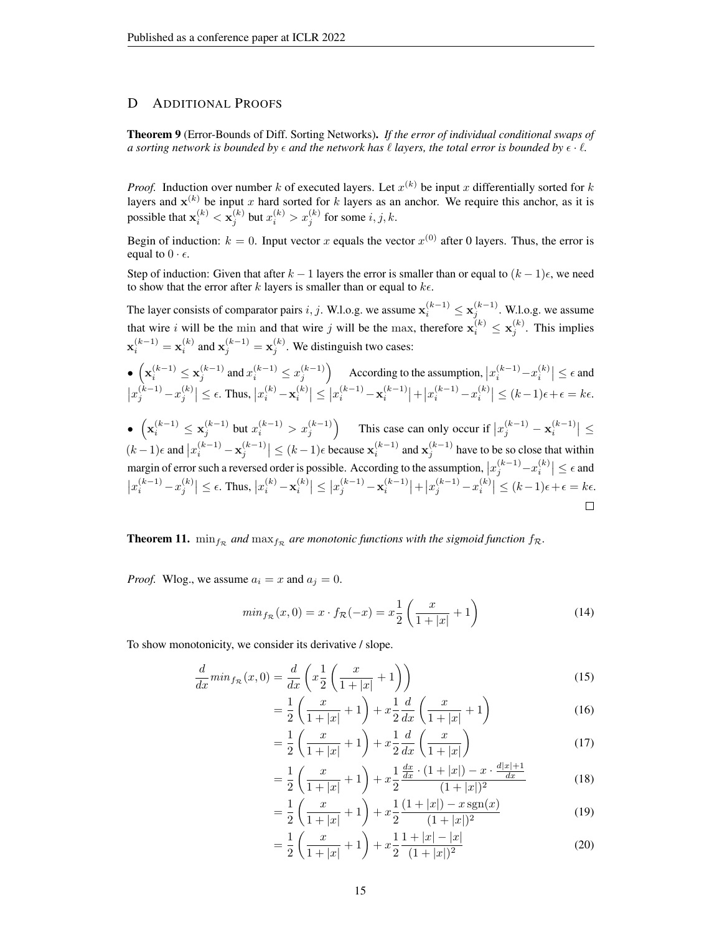# <span id="page-14-0"></span>D ADDITIONAL PROOFS

Theorem 9 (Error-Bounds of Diff. Sorting Networks). *If the error of individual conditional swaps of a sorting network is bounded by*  $\epsilon$  *and the network has*  $\ell$  *layers, the total error is bounded by*  $\epsilon \cdot \ell$ *.* 

*Proof.* Induction over number k of executed layers. Let  $x^{(k)}$  be input x differentially sorted for k layers and  $x^{(k)}$  be input x hard sorted for k layers as an anchor. We require this anchor, as it is possible that  $\mathbf{x}_i^{(k)} < \mathbf{x}_j^{(k)}$  but  $x_i^{(k)} > x_j^{(k)}$  for some  $i, j, k$ .

Begin of induction:  $k = 0$ . Input vector x equals the vector  $x^{(0)}$  after 0 layers. Thus, the error is equal to  $0 \cdot \epsilon$ .

Step of induction: Given that after  $k - 1$  layers the error is smaller than or equal to  $(k - 1)\epsilon$ , we need to show that the error after k layers is smaller than or equal to  $k\epsilon$ .

The layer consists of comparator pairs i, j. W.l.o.g. we assume  $\mathbf{x}_i^{(k-1)} \leq \mathbf{x}_j^{(k-1)}$ . W.l.o.g. we assume that wire i will be the min and that wire j will be the max, therefore  $x_i^{(k)} \le x_j^{(k)}$ . This implies  $\mathbf{x}_{i}^{(k-1)} = \mathbf{x}_{i}^{(k)}$  and  $\mathbf{x}_{j}^{(k-1)} = \mathbf{x}_{j}^{(k)}$ . We distinguish two cases:

$$
\begin{aligned}&\bullet\left(\mathbf{x}_i^{(k-1)}\leq \mathbf{x}_j^{(k-1)}\;\text{and}\;x_i^{(k-1)}\leq x_j^{(k-1)}\right)\quad\text{According to the assumption,}\;&|x_i^{(k-1)}-x_i^{(k)}|\leq \epsilon\;\text{and}\\&|x_j^{(k-1)}-x_j^{(k)}|\leq \epsilon.\;\text{Thus,}\;&|x_i^{(k)}-\mathbf{x}_i^{(k)}|\leq \left|x_i^{(k-1)}-\mathbf{x}_i^{(k-1)}\right|+\left|x_i^{(k-1)}-x_i^{(k)}\right|\leq (k-1)\epsilon+\epsilon=k\epsilon.\;\\&\bullet\;\left(\mathbf{x}_i^{(k-1)}\leq \mathbf{x}_j^{(k-1)}\;\text{but}\;x_i^{(k-1)}>x_j^{(k-1)}\right)\quad\text{This case can only occur if}\;|x_j^{(k-1)}-\mathbf{x}_i^{(k-1)}| \leq\\&\end{aligned}
$$

 $(k-1)\epsilon$  and  $|x_i^{(k-1)} - \mathbf{x}_j^{(k-1)}| \leq (k-1)\epsilon$  because  $\mathbf{x}_i^{(k-1)}$  and  $\mathbf{x}_j^{(k-1)}$  have to be so close that within margin of error such a reversed order is possible. According to the assumption,  $|x_j^{(k-1)}-x_i^{(k)}| \leq \epsilon$  and  $\left| x_i^{(k-1)} - x_j^{(k)} \right| \leq \epsilon$ . Thus,  $\left| x_i^{(k)} - x_i^{(k)} \right| \leq \left| x_j^{(k-1)} - x_i^{(k-1)} \right| + \left| x_j^{(k-1)} - x_i^{(k)} \right| \leq (k-1)\epsilon + \epsilon = k\epsilon$ .  $\Box$ 

**Theorem 11.**  $\min_{f_{\mathcal{R}}}$  and  $\max_{f_{\mathcal{R}}}$  are monotonic functions with the sigmoid function  $f_{\mathcal{R}}$ .

*Proof.* Wlog., we assume  $a_i = x$  and  $a_j = 0$ .

$$
min_{f_{\mathcal{R}}}(x,0) = x \cdot f_{\mathcal{R}}(-x) = x \frac{1}{2} \left( \frac{x}{1+|x|} + 1 \right)
$$
(14)

To show monotonicity, we consider its derivative / slope.

$$
\frac{d}{dx} min_{f_{\mathcal{R}}}(x,0) = \frac{d}{dx} \left( x \frac{1}{2} \left( \frac{x}{1+|x|} + 1 \right) \right)
$$
\n(15)

$$
= \frac{1}{2} \left( \frac{x}{1+|x|} + 1 \right) + x \frac{1}{2} \frac{d}{dx} \left( \frac{x}{1+|x|} + 1 \right)
$$
(16)

$$
= \frac{1}{2} \left( \frac{x}{1+|x|} + 1 \right) + x \frac{1}{2} \frac{d}{dx} \left( \frac{x}{1+|x|} \right)
$$
(17)

$$
= \frac{1}{2} \left( \frac{x}{1+|x|} + 1 \right) + x \frac{1}{2} \frac{\frac{dx}{dx} \cdot (1+|x|) - x \cdot \frac{d|x|+1}{dx}}{(1+|x|)^2} \tag{18}
$$

$$
= \frac{1}{2} \left( \frac{x}{1+|x|} + 1 \right) + x \frac{1}{2} \frac{(1+|x|) - x \operatorname{sgn}(x)}{(1+|x|)^2} \tag{19}
$$

$$
= \frac{1}{2} \left( \frac{x}{1+|x|} + 1 \right) + x \frac{1}{2} \frac{1+|x|-|x|}{(1+|x|)^2}
$$
(20)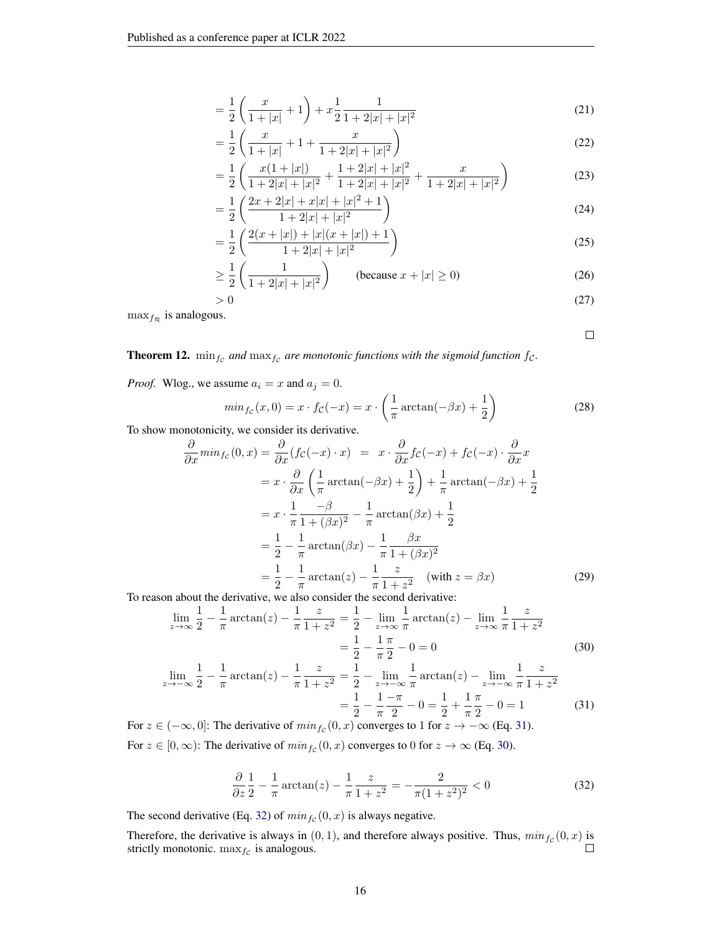$$
= \frac{1}{2} \left( \frac{x}{1+|x|} + 1 \right) + x \frac{1}{2} \frac{1}{1+2|x|+|x|^2}
$$
(21)

$$
= \frac{1}{2} \left( \frac{x}{1+|x|} + 1 + \frac{x}{1+2|x|+|x|^2} \right)
$$
(22)

$$
= \frac{1}{2} \left( \frac{x(1+|x|)}{1+2|x|+|x|^2} + \frac{1+2|x|+|x|^2}{1+2|x|+|x|^2} + \frac{x}{1+2|x|+|x|^2} \right) \tag{23}
$$

$$
= \frac{1}{2} \left( \frac{2x + 2|x| + x|x| + |x|^2 + 1}{1 + 2|x| + |x|^2} \right)
$$
\n(24)

$$
= \frac{1}{2} \left( \frac{2(x+|x|) + |x|(x+|x|) + 1}{1 + 2|x| + |x|^2} \right) \tag{25}
$$

$$
\geq \frac{1}{2} \left( \frac{1}{1 + 2|x| + |x|^2} \right) \qquad \text{(because } x + |x| \geq 0)
$$
 (26)

$$
>0\tag{27}
$$

 $\max_{f_{\mathcal{R}}}$  is analogous.

<span id="page-15-1"></span> $\Box$ 

**Theorem 12.**  $\min_{fc}$  and  $\max_{fc}$  are monotonic functions with the sigmoid function  $fc$ .

*Proof.* Wlog., we assume  $a_i = x$  and  $a_j = 0$ .

$$
min_{fc}(x,0) = x \cdot fc(-x) = x \cdot \left(\frac{1}{\pi}\arctan(-\beta x) + \frac{1}{2}\right)
$$
\n(28)

To show monotonicity, we consider its derivative.

$$
\frac{\partial}{\partial x} min_{fc}(0, x) = \frac{\partial}{\partial x} (fc(-x) \cdot x) = x \cdot \frac{\partial}{\partial x} fc(-x) + fc(-x) \cdot \frac{\partial}{\partial x} x
$$

$$
= x \cdot \frac{\partial}{\partial x} \left(\frac{1}{\pi} \arctan(-\beta x) + \frac{1}{2}\right) + \frac{1}{\pi} \arctan(-\beta x) + \frac{1}{2}
$$

$$
= x \cdot \frac{1}{\pi} \frac{-\beta}{1 + (\beta x)^2} - \frac{1}{\pi} \arctan(\beta x) + \frac{1}{2}
$$

$$
= \frac{1}{2} - \frac{1}{\pi} \arctan(\beta x) - \frac{1}{\pi} \frac{\beta x}{1 + (\beta x)^2}
$$

$$
= \frac{1}{2} - \frac{1}{\pi} \arctan(z) - \frac{1}{\pi} \frac{z}{1 + z^2} \quad (\text{with } z = \beta x)
$$
(29)

To reason about the derivative, we also consider the second derivative:

$$
\lim_{z \to \infty} \frac{1}{2} - \frac{1}{\pi} \arctan(z) - \frac{1}{\pi} \frac{z}{1 + z^2} = \frac{1}{2} - \lim_{z \to \infty} \frac{1}{\pi} \arctan(z) - \lim_{z \to \infty} \frac{1}{\pi} \frac{z}{1 + z^2}
$$

$$
= \frac{1}{2} - \frac{1}{\pi} \frac{\pi}{2} - 0 = 0
$$
(30)

$$
\lim_{z \to -\infty} \frac{1}{2} - \frac{1}{\pi} \arctan(z) - \frac{1}{\pi} \frac{z}{1 + z^2} = \frac{1}{2} - \lim_{z \to -\infty} \frac{1}{\pi} \arctan(z) - \lim_{z \to -\infty} \frac{1}{\pi} \frac{z}{1 + z^2}
$$

$$
= \frac{1}{2} - \frac{1 - \pi}{\pi} - 0 = \frac{1}{2} + \frac{1}{\pi} \frac{\pi}{2} - 0 = 1 \tag{31}
$$

For  $z \in (-\infty, 0]$ : The derivative of  $\min_{f_c}(0, x)$  converges to 1 for  $z \to -\infty$  (Eq. [31\)](#page-15-0). For  $z \in [0, \infty)$ : The derivative of  $\min_{f_c}(0, x)$  converges to 0 for  $z \to \infty$  (Eq. [30\)](#page-15-1).

<span id="page-15-2"></span><span id="page-15-0"></span>
$$
\frac{\partial}{\partial z} \frac{1}{2} - \frac{1}{\pi} \arctan(z) - \frac{1}{\pi} \frac{z}{1 + z^2} = -\frac{2}{\pi (1 + z^2)^2} < 0 \tag{32}
$$

The second derivative (Eq. [32\)](#page-15-2) of  $min_{fc} (0, x)$  is always negative.

Therefore, the derivative is always in  $(0, 1)$ , and therefore always positive. Thus,  $min_{fc}(0, x)$  is strictly monotonic.  $\max_{fc}$  is analogous.  $\Box$